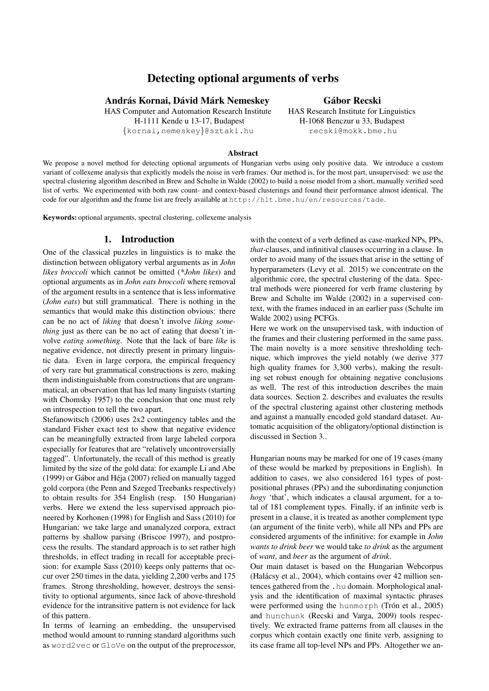# Detecting optional arguments of verbs

# András Kornai, Dávid Márk Nemeskey **andrás Kornai**, Dávid Márk Nemeskey **andrás** Gábor Recski

HAS Computer and Automation Research Institute HAS Research Institute for Linguistics H-1111 Kende u 13-17, Budapest H-1068 Benczur u 33, Budapest {kornai,nemeskey}@sztaki.hu recski@mokk.bme.hu

#### Abstract

We propose a novel method for detecting optional arguments of Hungarian verbs using only positive data. We introduce a custom variant of collexeme analysis that explicitly models the noise in verb frames. Our method is, for the most part, unsupervised: we use the spectral clustering algorithm described in Brew and Schulte in Walde (2002) to build a noise model from a short, manually verified seed list of verbs. We experimented with both raw count- and context-based clusterings and found their performance almost identical. The code for our algorithm and the frame list are freely available at http://hlt.bme.hu/en/resources/tade.

Keywords: optional arguments, spectral clustering, collexeme analysis

#### 1. Introduction

One of the classical puzzles in linguistics is to make the distinction between obligatory verbal arguments as in *John likes broccoli* which cannot be omitted (*\*John likes*) and optional arguments as in *John eats broccoli* where removal of the argument results in a sentence that is less informative (*John eats*) but still grammatical. There is nothing in the semantics that would make this distinction obvious: there can be no act of *liking* that doesn't involve *liking something* just as there can be no act of eating that doesn't involve *eating something*. Note that the lack of bare *like* is negative evidence, not directly present in primary linguistic data. Even in large corpora, the empirical frequency of very rare but grammatical constructions is zero, making them indistinguishable from constructions that are ungrammatical, an observation that has led many linguists (starting with Chomsky 1957) to the conclusion that one must rely on introspection to tell the two apart.

Stefanowitsch (2006) uses 2x2 contingency tables and the standard Fisher exact test to show that negative evidence can be meaningfully extracted from large labeled corpora especially for features that are "relatively uncontroversially tagged". Unfortunately, the recall of this method is greatly limited by the size of the gold data: for example Li and Abe (1999) or Gábor and Héja (2007) relied on manually tagged gold corpora (the Penn and Szeged Treebanks respectively) to obtain results for 354 English (resp. 150 Hungarian) verbs. Here we extend the less supervised approach pioneered by Korhonen (1998) for English and Sass (2010) for Hungarian: we take large and unanalyzed corpora, extract patterns by shallow parsing (Briscoe 1997), and postprocess the results. The standard approach is to set rather high thresholds, in effect trading in recall for acceptable precision: for example Sass (2010) keeps only patterns that occur over 250 times in the data, yielding 2,200 verbs and 175 frames. Strong thresholding, however, destroys the sensitivity to optional arguments, since lack of above-threshold evidence for the intransitive pattern is not evidence for lack of this pattern.

In terms of learning an embedding, the unsupervised method would amount to running standard algorithms such as word2vec or GloVe on the output of the preprocessor, with the context of a verb defined as case-marked NPs, PPs, *that-*clauses, and infinitival clauses occurring in a clause. In order to avoid many of the issues that arise in the setting of hyperparameters (Levy et al. 2015) we concentrate on the algorithmic core, the spectral clustering of the data. Spectral methods were pioneered for verb frame clustering by Brew and Schulte im Walde (2002) in a supervised context, with the frames induced in an earlier pass (Schulte im Walde 2002) using PCFGs.

Here we work on the unsupervised task, with induction of the frames and their clustering performed in the same pass. The main novelty is a more sensitive thresholding technique, which improves the yield notably (we derive 377 high quality frames for 3,300 verbs), making the resulting set robust enough for obtaining negative conclusions as well. The rest of this introduction describes the main data sources. Section 2. describes and evaluates the results of the spectral clustering against other clustering methods and against a manually encoded gold standard dataset. Automatic acquisition of the obligatory/optional distinction is discussed in Section 3..

Hungarian nouns may be marked for one of 19 cases (many of these would be marked by prepositions in English). In addition to cases, we also considered 161 types of postpositional phrases (PPs) and the subordinating conjunction *hogy* 'that', which indicates a clausal argument, for a total of 181 complement types. Finally, if an infinite verb is present in a clause, it is treated as another complement type (an argument of the finite verb), while all NPs and PPs are considered arguments of the infinitive: for example in *John wants to drink beer* we would take *to drink* as the argument of *want*, and *beer* as the argument of *drink*.

Our main dataset is based on the Hungarian Webcorpus (Halácsy et al., 2004), which contains over 42 million sentences gathered from the .hu domain. Morphological analysis and the identification of maximal syntactic phrases were performed using the hunmorph (Trón et al.,  $2005$ ) and hunchunk (Recski and Varga, 2009) tools respectively. We extracted frame patterns from all clauses in the corpus which contain exactly one finite verb, assigning to its case frame all top-level NPs and PPs. Altogether we an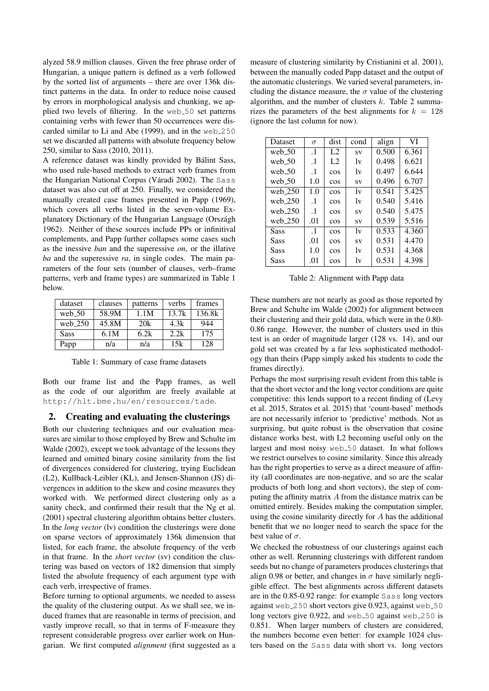alyzed 58.9 million clauses. Given the free phrase order of Hungarian, a unique pattern is defined as a verb followed by the sorted list of arguments – there are over 136k distinct patterns in the data. In order to reduce noise caused by errors in morphological analysis and chunking, we applied two levels of filtering. In the web 50 set patterns containing verbs with fewer than 50 occurrences were discarded similar to Li and Abe (1999), and in the web 250 set we discarded all patterns with absolute frequency below 250, similar to Sass (2010, 2011).

A reference dataset was kindly provided by Balint Sass, ´ who used rule-based methods to extract verb frames from the Hungarian National Corpus (Váradi 2002). The Sass dataset was also cut off at 250. Finally, we considered the manually created case frames presented in Papp (1969), which covers all verbs listed in the seven-volume Explanatory Dictionary of the Hungarian Language (Országh 1962). Neither of these sources include PPs or infinitival complements, and Papp further collapses some cases such as the inessive *ban* and the superessive *on*, or the illative *ba* and the superessive *ra*, in single codes. The main parameters of the four sets (number of clauses, verb–frame patterns, verb and frame types) are summarized in Table 1 below.

| dataset     | clauses | patterns | verbs | frames |
|-------------|---------|----------|-------|--------|
| web $50$    | 58.9M   | 1.1M     | 13.7k | 136.8k |
| web $250$   | 45.8M   | 20k      | 4.3k  | 944    |
| <b>Sass</b> | 6.1M    | 6.2k     | 2.2k  | 175    |
| Papp        | n/a     | n/a      | 15k   | 128    |

Table 1: Summary of case frame datasets

Both our frame list and the Papp frames, as well as the code of our algorithm are freely available at http://hlt.bme.hu/en/resources/tade.

## 2. Creating and evaluating the clusterings

Both our clustering techniques and our evaluation measures are similar to those employed by Brew and Schulte im Walde (2002), except we took advantage of the lessons they learned and omitted binary cosine similarity from the list of divergences considered for clustering, trying Euclidean (L2), Kullback-Leibler (KL), and Jensen-Shannon (JS) divergences in addition to the skew and cosine measures they worked with. We performed direct clustering only as a sanity check, and confirmed their result that the Ng et al. (2001) spectral clustering algorithm obtains better clusters. In the *long vector* (lv) condition the clusterings were done on sparse vectors of approximately 136k dimension that listed, for each frame, the absolute frequency of the verb in that frame. In the *short vector* (sv) condition the clustering was based on vectors of 182 dimension that simply listed the absolute frequency of each argument type with each verb, irrespective of frames.

Before turning to optional arguments, we needed to assess the quality of the clustering output. As we shall see, we induced frames that are reasonable in terms of precision, and vastly improve recall, so that in terms of F-measure they represent considerable progress over earlier work on Hungarian. We first computed *alignment* (first suggested as a measure of clustering similarity by Cristianini et al. 2001), between the manually coded Papp dataset and the output of the automatic clusterings. We varied several parameters, including the distance measure, the  $\sigma$  value of the clustering algorithm, and the number of clusters  $k$ . Table 2 summarizes the parameters of the best alignments for  $k = 128$ (ignore the last column for now).

| Dataset    | $\sigma$  | dist           | cond | align | VI    |
|------------|-----------|----------------|------|-------|-------|
| web $50$   | $\cdot$ 1 | L <sub>2</sub> | SV   | 0.500 | 6.361 |
| web $50$   | $\cdot$ 1 | L2             | 1v   | 0.498 | 6.621 |
| web $50$   | $\cdot$ 1 | cos            | 1v   | 0.497 | 6.644 |
| web $-50$  | 1.0       | cos            | SV   | 0.496 | 6.707 |
| web 250    | 1.0       | cos            | 1v   | 0.541 | 5.425 |
| web $250$  | $\cdot$ 1 | cos            | 1v   | 0.540 | 5.416 |
| web $-250$ | $\cdot$ 1 | cos            | SV   | 0.540 | 5.475 |
| web $-250$ | .01       | <b>COS</b>     | SV   | 0.539 | 5.516 |
| Sass       | $\cdot$ 1 | cos            | 1v   | 0.533 | 4.360 |
| Sass       | .01       | cos            | SV   | 0.531 | 4.470 |
| Sass       | 1.0       | cos            | 1v   | 0.531 | 4.368 |
| Sass       | .01       | cos            | lv   | 0.531 | 4.398 |

Table 2: Alignment with Papp data

These numbers are not nearly as good as those reported by Brew and Schulte im Walde (2002) for alignment between their clustering and their gold data, which were in the 0.80- 0.86 range. However, the number of clusters used in this test is an order of magnitude larger (128 vs. 14), and our gold set was created by a far less sophisticated methodology than theirs (Papp simply asked his students to code the frames directly).

Perhaps the most surprising result evident from this table is that the short vector and the long vector conditions are quite competitive: this lends support to a recent finding of (Levy et al. 2015, Stratos et al. 2015) that 'count-based' methods are not necessarily inferior to 'predictive' methods. Not as surprising, but quite robust is the observation that cosine distance works best, with L2 becoming useful only on the largest and most noisy web 50 dataset. In what follows we restrict ourselves to cosine similarity. Since this already has the right properties to serve as a direct measure of affinity (all coordinates are non-negative, and so are the scalar products of both long and short vectors), the step of computing the affinity matrix A from the distance matrix can be omitted entirely. Besides making the computation simpler, using the cosine similarity directly for  $A$  has the additional benefit that we no longer need to search the space for the best value of  $\sigma$ .

We checked the robustness of our clusterings against each other as well. Rerunning clusterings with different random seeds but no change of parameters produces clusterings that align 0.98 or better, and changes in  $\sigma$  have similarly negligible effect. The best alignments across different datasets are in the 0.85-0.92 range: for example Sass long vectors against web 250 short vectors give 0.923, against web 50 long vectors give 0.922, and web 50 against web 250 is 0.851. When larger numbers of clusters are considered, the numbers become even better: for example 1024 clusters based on the Sass data with short vs. long vectors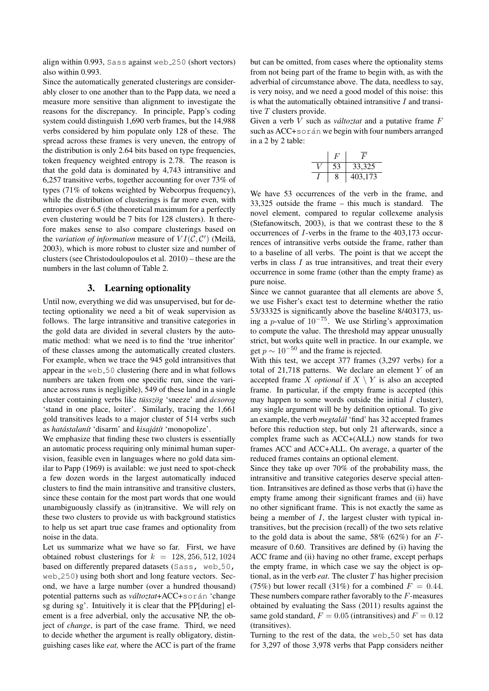align within 0.993, Sass against web 250 (short vectors) also within 0.993.

Since the automatically generated clusterings are considerably closer to one another than to the Papp data, we need a measure more sensitive than alignment to investigate the reasons for the discrepancy. In principle, Papp's coding system could distinguish 1,690 verb frames, but the 14,988 verbs considered by him populate only 128 of these. The spread across these frames is very uneven, the entropy of the distribution is only 2.64 bits based on type frequencies, token frequency weighted entropy is 2.78. The reason is that the gold data is dominated by 4,743 intransitive and 6,257 transitive verbs, together accounting for over 73% of types (71% of tokens weighted by Webcorpus frequency), while the distribution of clusterings is far more even, with entropies over 6.5 (the theoretical maximum for a perfectly even clustering would be 7 bits for 128 clusters). It therefore makes sense to also compare clusterings based on the *variation of information* measure of  $VI(\mathcal{C}, \mathcal{C}')$  (Meilă, 2003), which is more robust to cluster size and number of clusters (see Christodoulopoulos et al. 2010) – these are the numbers in the last column of Table 2.

## 3. Learning optionality

Until now, everything we did was unsupervised, but for detecting optionality we need a bit of weak supervision as follows. The large intransitive and transitive categories in the gold data are divided in several clusters by the automatic method: what we need is to find the 'true inheritor' of these classes among the automatically created clusters. For example, when we trace the 945 gold intransitives that appear in the web 50 clustering (here and in what follows numbers are taken from one specific run, since the variance across runs is negligible), 549 of these land in a single cluster containing verbs like *tüsszög* 'sneeze' and  $\acute{a}csorog$ 'stand in one place, loiter'. Similarly, tracing the 1,661 gold transitives leads to a major cluster of 514 verbs such as *hatástalanít* 'disarm' and *kisajátít* 'monopolize'.

We emphasize that finding these two clusters is essentially an automatic process requiring only minimal human supervision, feasible even in languages where no gold data similar to Papp (1969) is available: we just need to spot-check a few dozen words in the largest automatically induced clusters to find the main intransitive and transitive clusters, since these contain for the most part words that one would unambiguously classify as (in)transitive. We will rely on these two clusters to provide us with background statistics to help us set apart true case frames and optionality from noise in the data.

Let us summarize what we have so far. First, we have obtained robust clusterings for  $k = 128, 256, 512, 1024$ based on differently prepared datasets (Sass, web 50, web 250) using both short and long feature vectors. Second, we have a large number (over a hundred thousand) potential patterns such as *változtat* + ACC+során 'change sg during sg'. Intuitively it is clear that the PP[during] element is a free adverbial, only the accusative NP, the object of *change*, is part of the case frame. Third, we need to decide whether the argument is really obligatory, distinguishing cases like *eat,* where the ACC is part of the frame but can be omitted, from cases where the optionality stems from not being part of the frame to begin with, as with the adverbial of circumstance above. The data, needless to say, is very noisy, and we need a good model of this noise: this is what the automatically obtained intransitive  $I$  and transitive  $T$  clusters provide.

Given a verb  $V$  such as *változtat* and a putative frame  $F$ such as ACC+során we begin with four numbers arranged in a 2 by 2 table:

|  | 33,325  |
|--|---------|
|  | 403,173 |

We have 53 occurrences of the verb in the frame, and 33,325 outside the frame – this much is standard. The novel element, compared to regular collexeme analysis (Stefanowitsch, 2003), is that we contrast these to the 8 occurrences of I-verbs in the frame to the 403,173 occurrences of intransitive verbs outside the frame, rather than to a baseline of all verbs. The point is that we accept the verbs in class  $I$  as true intransitives, and treat their every occurrence in some frame (other than the empty frame) as pure noise.

Since we cannot guarantee that all elements are above 5, we use Fisher's exact test to determine whether the ratio 53/33325 is significantly above the baseline 8/403173, using a p-value of  $10^{-75}$ . We use Stirling's approximation to compute the value. The threshold may appear unusually strict, but works quite well in practice. In our example, we get  $p \sim 10^{-50}$  and the frame is rejected.

With this test, we accept 377 frames (3,297 verbs) for a total of 21,718 patterns. We declare an element Y of an accepted frame X *optional* if  $X \setminus Y$  is also an accepted frame. In particular, if the empty frame is accepted (this may happen to some words outside the initial  $I$  cluster), any single argument will be by definition optional. To give an example, the verb *megtalal´* 'find' has 32 accepted frames before this reduction step, but only 21 afterwards, since a complex frame such as ACC+(ALL) now stands for two frames ACC and ACC+ALL. On average, a quarter of the reduced frames contains an optional element.

Since they take up over 70% of the probability mass, the intransitive and transitive categories deserve special attention. Intransitives are defined as those verbs that (i) have the empty frame among their significant frames and (ii) have no other significant frame. This is not exactly the same as being a member of  $I$ , the largest cluster with typical intransitives, but the precision (recall) of the two sets relative to the gold data is about the same,  $58\%$  (62%) for an Fmeasure of 0.60. Transitives are defined by (i) having the ACC frame and (ii) having no other frame, except perhaps the empty frame, in which case we say the object is optional, as in the verb *eat*. The cluster T has higher precision (75%) but lower recall (31%) for a combined  $F = 0.44$ . These numbers compare rather favorably to the  $F$ -measures obtained by evaluating the Sass (2011) results against the same gold standard,  $F = 0.05$  (intransitives) and  $F = 0.12$ (transitives).

Turning to the rest of the data, the web 50 set has data for 3,297 of those 3,978 verbs that Papp considers neither